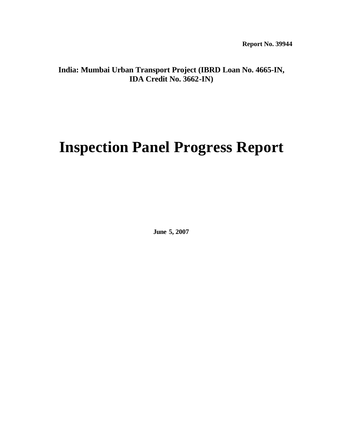# **India: Mumbai Urban Transport Project (IBRD Loan No. 4665-IN, IDA Credit No. 3662-IN)**

# **Inspection Panel Progress Report**

**June 5, 2007**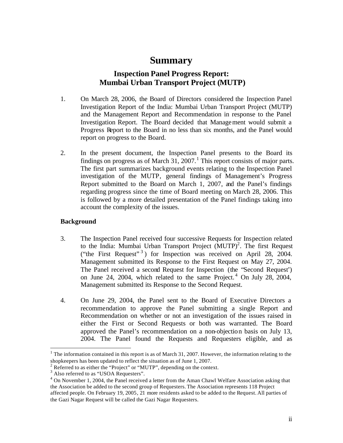# **Summary**

# **Inspection Panel Progress Report: Mumbai Urban Transport Project (MUTP)**

- 1. On March 28, 2006, the Board of Directors considered the Inspection Panel Investigation Report of the India: Mumbai Urban Transport Project (MUTP) and the Management Report and Recommendation in response to the Panel Investigation Report. The Board decided that Management would submit a Progress Report to the Board in no less than six months, and the Panel would report on progress to the Board.
- 2. In the present document, the Inspection Panel presents to the Board its findings on progress as of March 31, 2007.<sup>1</sup> This report consists of major parts. The first part summarizes background events relating to the Inspection Panel investigation of the MUTP, general findings of Management's Progress Report submitted to the Board on March 1, 2007, and the Panel's findings regarding progress since the time of Board meeting on March 28, 2006. This is followed by a more detailed presentation of the Panel findings taking into account the complexity of the issues.

#### **Background**

- 3. The Inspection Panel received four successive Requests for Inspection related to the India: Mumbai Urban Transport Project (MUTP)<sup>2</sup>. The first Request ("the First Request" 3) for Inspection was received on April 28, 2004. Management submitted its Response to the First Request on May 27, 2004. The Panel received a second Request for Inspection (the "Second Request') on June 24, 2004, which related to the same Project.<sup>4</sup> On July 28, 2004, Management submitted its Response to the Second Request.
- 4. On June 29, 2004, the Panel sent to the Board of Executive Directors a recommendation to approve the Panel submitting a single Report and Recommendation on whether or not an investigation of the issues raised in either the First or Second Requests or both was warranted. The Board approved the Panel's recommendation on a non-objection basis on July 13, 2004. The Panel found the Requests and Requesters eligible, and as

<sup>&</sup>lt;sup>1</sup> The information contained in this report is as of March 31, 2007. However, the information relating to the shopkeepers has been updated to reflect the situation as of June 1, 2007.

 $2^2$  Referred to as either the "Project" or "MUTP", depending on the context.

<sup>&</sup>lt;sup>3</sup> Also referred to as "USOA Requesters".

<sup>&</sup>lt;sup>4</sup> On November 1, 2004, the Panel received a letter from the Aman Chawl Welfare Association asking that the Association be added to the second group of Requesters. The Association represents 118 Project affected people. On February 19, 2005, 21 more residents asked to be added to the Request. All parties of the Gazi Nagar Request will be called the Gazi Nagar Requesters.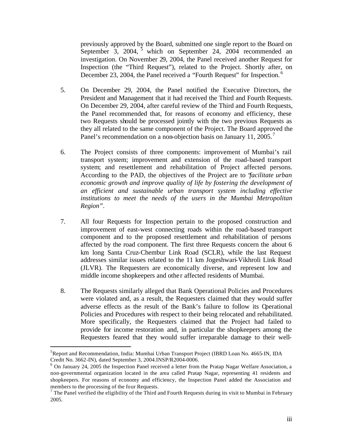previously approved by the Board, submitted one single report to the Board on September 3, 2004,  $\frac{5}{5}$  which on September 24, 2004 recommended an investigation. On November 29, 2004, the Panel received another Request for Inspection (the "Third Request"), related to the Project. Shortly after, on December 23, 2004, the Panel received a "Fourth Request" for Inspection.<sup>6</sup>

- 5. On December 29, 2004, the Panel notified the Executive Directors, the President and Management that it had received the Third and Fourth Requests. On December 29, 2004, after careful review of the Third and Fourth Requests, the Panel recommended that, for reasons of economy and efficiency, these two Requests should be processed jointly with the two previous Requests as they all related to the same component of the Project. The Board approved the Panel's recommendation on a non-objection basis on January 11, 2005.<sup>7</sup>
- 6. The Project consists of three components: improvement of Mumbai's rail transport system; improvement and extension of the road-based transport system; and resettlement and rehabilitation of Project affected persons. According to the PAD, the objectives of the Project are to "*facilitate urban economic growth and improve quality of life by fostering the development of an efficient and sustainable urban transport system including effective institutions to meet the needs of the users in the Mumbai Metropolitan Region"*.
- 7. All four Requests for Inspection pertain to the proposed construction and improvement of east-west connecting roads within the road-based transport component and to the proposed resettlement and rehabilitation of persons affected by the road component. The first three Requests concern the about 6 km long Santa Cruz-Chembur Link Road (SCLR), while the last Request addresses similar issues related to the 11 km Jogeshwari-Vikhroli Link Road (JLVR). The Requesters are economically diverse, and represent low and middle income shopkeepers and other affected residents of Mumbai.
- 8. The Requests similarly alleged that Bank Operational Policies and Procedures were violated and, as a result, the Requesters claimed that they would suffer adverse effects as the result of the Bank's failure to follow its Operational Policies and Procedures with respect to their being relocated and rehabilitated. More specifically, the Requesters claimed that the Project had failed to provide for income restoration and, in particular the shopkeepers among the Requesters feared that they would suffer irreparable damage to their well-

<sup>&</sup>lt;sup>5</sup>Report and Recommendation, India: Mumbai Urban Transport Project (IBRD Loan No. 4665-IN, IDA Credit No. 3662-IN), dated September 3, 2004.INSP/R2004-0006.

 $6$  On January 24, 2005 the Inspection Panel received a letter from the Pratap Nagar Welfare Association, a non-governmental organization located in the area called Pratap Nagar, representing 41 residents and shopkeepers. For reasons of economy and efficiency, the Inspection Panel added the Association and members to the processing of the four Requests.

 $<sup>7</sup>$  The Panel verified the eligibility of the Third and Fourth Requests during its visit to Mumbai in February</sup> 2005.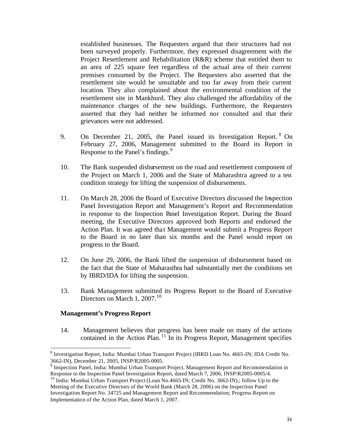established businesses. The Requesters argued that their structures had not been surveyed properly. Furthermore, they expressed disagreement with the Project Resettlement and Rehabilitation (R&R) scheme that entitled them to an area of 225 square feet regardless of the actual area of their current premises consumed by the Project. The Requesters also asserted that the resettlement site would be unsuitable and too far away from their current location. They also complained about the environmental condition of the resettlement site in Mankhurd. They also challenged the affordability of the maintenance charges of the new buildings. Furthermore, the Requesters asserted that they had neither be informed nor consulted and that their grievances were not addressed.

- 9. On December 21, 2005, the Panel issued its Investigation Report. <sup>8</sup> On February 27, 2006, Management submitted to the Board its Report in Response to the Panel's findings.<sup>9</sup>
- 10. The Bank suspended disbursement on the road and resettlement component of the Project on March 1, 2006 and the State of Maharashtra agreed to a ten condition strategy for lifting the suspension of disbursements.
- 11. On March 28, 2006 the Board of Executive Directors discussed the Inspection Panel Investigation Report and Management's Report and Recommendation in response to the Inspection Panel Investigation Report. During the Board meeting, the Executive Directors approved both Reports and endorsed the Action Plan. It was agreed that Management would submit a Progress Report to the Board in no later than six months and the Panel would report on progress to the Board.
- 12. On June 29, 2006, the Bank lifted the suspension of disbursement based on the fact that the State of Maharasthra had substantially met the conditions set by IBRD/IDA for lifting the suspension.
- 13. Bank Management submitted its Progress Report to the Board of Executive Directors on March 1, 2007.<sup>10</sup>

#### **Management's Progress Report**

 $\overline{a}$ 

14. Management believes that progress has been made on many of the actions contained in the Action Plan. <sup>11</sup> In its Progress Report, Management specifies

<sup>&</sup>lt;sup>8</sup> Investigation Report, India: Mumbai Urban Transport Project (IBRD Loan No. 4665-IN; IDA Credit No. 3662-IN), December 21, 2005, INSP/R2005-0005.

<sup>&</sup>lt;sup>9</sup> Inspection Panel, India: Mumbai Urban Transport Project, Management Report and Recommendation in Response to the Inspection Panel Investigation Report, dated March 7, 2006, INSP/R2005-0005/4.

<sup>&</sup>lt;sup>10</sup> India: Mumbai Urban Transport Project (Loan No.4665-IN; Credit No. 3662-IN),; follow Up to the Meeting of the Executive Directors of the World Bank (March 28, 2006) on the Inspection Panel Investigation Report No. 34725 and Management Report and Recommendation; Progress Report on Implementation of the Action Plan, dated March 1, 2007.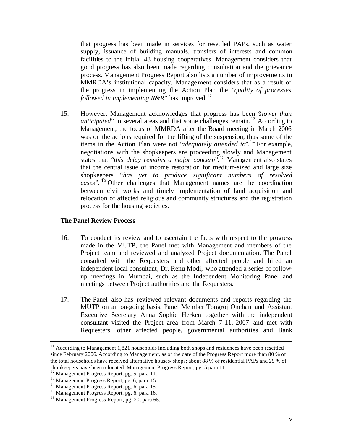that progress has been made in services for resettled PAPs, such as water supply, issuance of building manuals, transfers of interests and common facilities to the initial 48 housing cooperatives. Management considers that good progress has also been made regarding consultation and the grievance process. Management Progress Report also lists a number of improvements in MMRDA's institutional capacity. Management considers that as a result of the progress in implementing the Action Plan the "*quality of processes followed in implementing*  $R\&R$ " has improved.<sup>12</sup>

15. However, Management acknowledges that progress has been "*slower than anticipated*" in several areas and that some challenges remain.<sup>13</sup> According to Management, the focus of MMRDA after the Board meeting in March 2006 was on the actions required for the lifting of the suspension, thus some of the items in the Action Plan were not *'adequately attended to'*.<sup>14</sup> For example, negotiations with the shopkeepers are proceeding slowly and Management states that "*this delay remains a major concern*". <sup>15</sup> Management also states that the central issue of income restoration for medium-sized and large size shopkeepers "*has yet to produce significant numbers of resolved cases*". <sup>16</sup> Other challenges that Management names are the coordination between civil works and timely implementation of land acquisition and relocation of affected religious and community structures and the registration process for the housing societies.

#### **The Panel Review Process**

- 16. To conduct its review and to ascertain the facts with respect to the progress made in the MUTP, the Panel met with Management and members of the Project team and reviewed and analyzed Project documentation. The Panel consulted with the Requesters and other affected people and hired an independent local consultant, Dr. Renu Modi, who attended a series of followup meetings in Mumbai, such as the Independent Monitoring Panel and meetings between Project authorities and the Requesters.
- 17. The Panel also has reviewed relevant documents and reports regarding the MUTP on an on-going basis. Panel Member Tongroj Onchan and Assistant Executive Secretary Anna Sophie Herken together with the independent consultant visited the Project area from March 7-11, 2007 and met with Requesters, other affected people, governmental authorities and Bank

 $11$  According to Management 1,821 households including both shops and residences have been resettled since February 2006. According to Management, as of the date of the Progress Report more than 80 % of the total households have received alternative houses/ shops; about 88 % of residential PAPs and 29 % of shopkeepers have been relocated. Management Progress Report, pg. 5 para 11.

<sup>&</sup>lt;sup>12</sup> Management Progress Report, pg. 5, para 11.

<sup>13</sup> Management Progress Report, pg. 6, para 15.

<sup>14</sup> Management Progress Report, pg. 6, para 15.

<sup>&</sup>lt;sup>15</sup> Management Progress Report, pg. 6, para 16.

<sup>16</sup> Management Progress Report, pg. 20, para 65.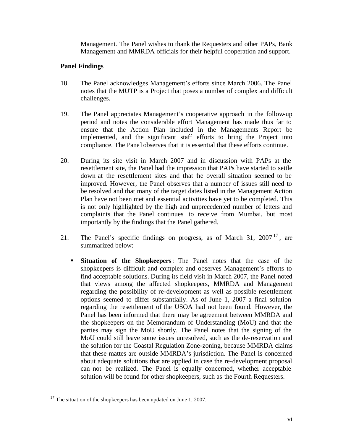Management. The Panel wishes to thank the Requesters and other PAPs, Bank Management and MMRDA officials for their helpful cooperation and support.

#### **Panel Findings**

- 18. The Panel acknowledges Management's efforts since March 2006. The Panel notes that the MUTP is a Project that poses a number of complex and difficult challenges.
- 19. The Panel appreciates Management's cooperative approach in the follow-up period and notes the considerable effort Management has made thus far to ensure that the Action Plan included in the Managements Report be implemented, and the significant staff efforts to bring the Project into compliance. The Panel observes that it is essential that these efforts continue.
- 20. During its site visit in March 2007 and in discussion with PAPs at the resettlement site, the Panel had the impression that PAPs have started to settle down at the resettlement sites and that the overall situation seemed to be improved. However, the Panel observes that a number of issues still need to be resolved and that many of the target dates listed in the Management Action Plan have not been met and essential activities have yet to be completed. This is not only highlighted by the high and unprecedented number of letters and complaints that the Panel continues to receive from Mumbai, but most importantly by the findings that the Panel gathered.
- 21. The Panel's specific findings on progress, as of March 31,  $2007<sup>17</sup>$ , are summarized below:
	- ß **Situation of the Shopkeepers**: The Panel notes that the case of the shopkeepers is difficult and complex and observes Management's efforts to find acceptable solutions. During its field visit in March 2007, the Panel noted that views among the affected shopkeepers, MMRDA and Management regarding the possibility of re-development as well as possible resettlement options seemed to differ substantially. As of June 1, 2007 a final solution regarding the resettlement of the USOA had not been found. However, the Panel has been informed that there may be agreement between MMRDA and the shopkeepers on the Memorandum of Understanding (MoU) and that the parties may sign the MoU shortly. The Panel notes that the signing of the MoU could still leave some issues unresolved, such as the de-reservation and the solution for the Coastal Regulation Zone-zoning, because MMRDA claims that these mattes are outside MMRDA's jurisdiction. The Panel is concerned about adequate solutions that are applied in case the re-development proposal can not be realized. The Panel is equally concerned, whether acceptable solution will be found for other shopkeepers, such as the Fourth Requesters.

 $17$  The situation of the shopkeepers has been updated on June 1, 2007.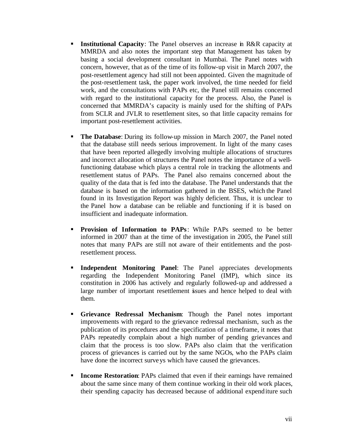- **Institutional Capacity:** The Panel observes an increase in R&R capacity at MMRDA and also notes the important step that Management has taken by basing a social development consultant in Mumbai. The Panel notes with concern, however, that as of the time of its follow-up visit in March 2007, the post-resettlement agency had still not been appointed. Given the magnitude of the post-resettlement task, the paper work involved, the time needed for field work, and the consultations with PAPs etc, the Panel still remains concerned with regard to the institutional capacity for the process. Also, the Panel is concerned that MMRDA's capacity is mainly used for the shifting of PAPs from SCLR and JVLR to resettlement sites, so that little capacity remains for important post-resettlement activities.
- **The Database:** During its follow-up mission in March 2007, the Panel noted that the database still needs serious improvement. In light of the many cases that have been reported allegedly involving multiple allocations of structures and incorrect allocation of structures the Panel notes the importance of a wellfunctioning database which plays a central role in tracking the allotments and resettlement status of PAPs. The Panel also remains concerned about the quality of the data that is fed into the database. The Panel understands that the database is based on the information gathered in the BSES, which the Panel found in its Investigation Report was highly deficient. Thus, it is unclear to the Panel how a database can be reliable and functioning if it is based on insufficient and inadequate information.
- **Provision of Information to PAPs**: While PAPs seemed to be better informed in 2007 than at the time of the investigation in 2005, the Panel still notes that many PAPs are still not aware of their entitlements and the postresettlement process.
- **Independent Monitoring Panel:** The Panel appreciates developments regarding the Independent Monitoring Panel (IMP), which since its constitution in 2006 has actively and regularly followed-up and addressed a large number of important resettlement issues and hence helped to deal with them.
- **Grievance Redressal Mechanism:** Though the Panel notes important improvements with regard to the grievance redressal mechanism, such as the publication of its procedures and the specification of a timeframe, it notes that PAPs repeatedly complain about a high number of pending grievances and claim that the process is too slow. PAPs also claim that the verification process of grievances is carried out by the same NGOs, who the PAPs claim have done the incorrect surveys which have caused the grievances.
- **Income Restoration:** PAPs claimed that even if their earnings have remained about the same since many of them continue working in their old work places, their spending capacity has decreased because of additional expenditure such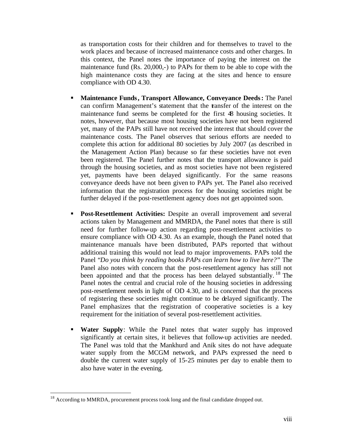as transportation costs for their children and for themselves to travel to the work places and because of increased maintenance costs and other charges. In this context, the Panel notes the importance of paying the interest on the maintenance fund (Rs. 20,000,-) to PAPs for them to be able to cope with the high maintenance costs they are facing at the sites and hence to ensure compliance with OD 4.30.

- **KRIMA:** Maintenance Funds, Transport Allowance, Conveyance Deeds: The Panel can confirm Management's statement that the transfer of the interest on the maintenance fund seems be completed for the first 48 housing societies. It notes, however, that because most housing societies have not been registered yet, many of the PAPs still have not received the interest that should cover the maintenance costs. The Panel observes that serious efforts are needed to complete this action for additional 80 societies by July 2007 (as described in the Management Action Plan) because so far these societies have not even been registered. The Panel further notes that the transport allowance is paid through the housing societies, and as most societies have not been registered yet, payments have been delayed significantly. For the same reasons conveyance deeds have not been given to PAPs yet. The Panel also received information that the registration process for the housing societies might be further delayed if the post-resettlement agency does not get appointed soon.
- **Post-Resettlement Activities:** Despite an overall improvement and several actions taken by Management and MMRDA, the Panel notes that there is still need for further follow-up action regarding post-resettlement activities to ensure compliance with OD 4.30. As an example, though the Panel noted that maintenance manuals have been distributed, PAPs reported that without additional training this would not lead to major improvements. PAPs told the Panel "*Do you think by reading books PAPs can learn how to live here?*" The Panel also notes with concern that the post-resettlement agency has still not been appointed and that the process has been delayed substantially. <sup>18</sup> The Panel notes the central and crucial role of the housing societies in addressing post-resettlement needs in light of OD 4.30, and is concerned that the process of registering these societies might continue to be delayed significantly. The Panel emphasizes that the registration of cooperative societies is a key requirement for the initiation of several post-resettlement activities.
- **Water Supply**: While the Panel notes that water supply has improved significantly at certain sites, it believes that follow-up activities are needed. The Panel was told that the Mankhurd and Anik sites do not have adequate water supply from the MCGM network, and PAPs expressed the need to double the current water supply of 15-25 minutes per day to enable them to also have water in the evening.

<sup>&</sup>lt;sup>18</sup> According to MMRDA, procurement process took long and the final candidate dropped out.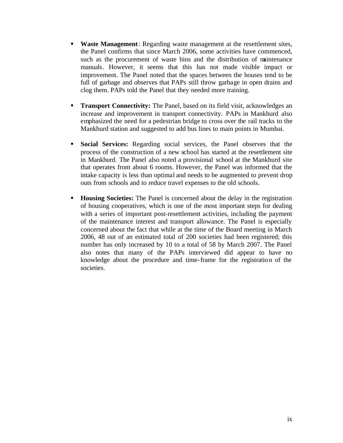- **Waste Management**: Regarding waste management at the resettlement sites, the Panel confirms that since March 2006, some activities have commenced, such as the procurement of waste bins and the distribution of maintenance manuals. However, it seems that this has not made visible impact or improvement. The Panel noted that the spaces between the houses tend to be full of garbage and observes that PAPs still throw garbage in open drains and clog them. PAPs told the Panel that they needed more training.
- **Transport Connectivity:** The Panel, based on its field visit, acknowledges an increase and improvement in transport connectivity. PAPs in Mankhurd also emphasized the need for a pedestrian bridge to cross over the rail tracks to the Mankhurd station and suggested to add bus lines to main points in Mumbai.
- **Social Services:** Regarding social services, the Panel observes that the process of the construction of a new school has started at the resettlement site in Mankhurd. The Panel also noted a provisional school at the Mankhurd site that operates from about 6 rooms. However, the Panel was informed that the intake capacity is less than optimal and needs to be augmented to prevent drop outs from schools and to reduce travel expenses to the old schools.
- **Housing Societies:** The Panel is concerned about the delay in the registration of housing cooperatives, which is one of the most important steps for dealing with a series of important post-resettlement activities, including the payment of the maintenance interest and transport allowance. The Panel is especially concerned about the fact that while at the time of the Board meeting in March 2006, 48 out of an estimated total of 200 societies had been registered; this number has only increased by 10 to a total of 58 by March 2007. The Panel also notes that many of the PAPs interviewed did appear to have no knowledge about the procedure and time-frame for the registration of the societies.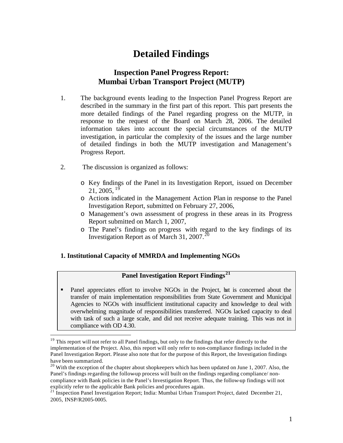# **Detailed Findings**

# **Inspection Panel Progress Report: Mumbai Urban Transport Project (MUTP)**

- 1. The background events leading to the Inspection Panel Progress Report are described in the summary in the first part of this report. This part presents the more detailed findings of the Panel regarding progress on the MUTP, in response to the request of the Board on March 28, 2006. The detailed information takes into account the special circumstances of the MUTP investigation, in particular the complexity of the issues and the large number of detailed findings in both the MUTP investigation and Management's Progress Report.
- 2. The discussion is organized as follows:

 $\overline{a}$ 

- o Key findings of the Panel in its Investigation Report, issued on December  $21, 2005,$ <sup>19</sup>
- o Actions indicated in the Management Action Plan in response to the Panel Investigation Report, submitted on February 27, 2006,
- o Management's own assessment of progress in these areas in its Progress Report submitted on March 1, 2007,
- o The Panel's findings on progress with regard to the key findings of its Investigation Report as of March 31, 2007.<sup>20</sup>

#### **1. Institutional Capacity of MMRDA and Implementing NGOs**

### **Panel Investigation Report Findings<sup>21</sup>**

• Panel appreciates effort to involve NGOs in the Project, but is concerned about the transfer of main implementation responsibilities from State Government and Municipal Agencies to NGOs with insufficient institutional capacity and knowledge to deal with overwhelming magnitude of responsibilities transferred. NGOs lacked capacity to deal with task of such a large scale, and did not receive adequate training. This was not in compliance with OD 4.30.

<sup>&</sup>lt;sup>19</sup> This report will not refer to all Panel findings, but only to the findings that refer directly to the implementation of the Project. Also, this report will only refer to non-compliance findings included in the Panel Investigation Report. Please also note that for the purpose of this Report, the Investigation findings have been summarized.

 $20$  With the exception of the chapter about shopkeepers which has been updated on June 1, 2007. Also, the Panel's findings regarding the follow-up process will built on the findings regarding compliance/ noncompliance with Bank policies in the Panel's Investigation Report. Thus, the follow-up findings will not explicitly refer to the applicable Bank policies and procedures again.

<sup>&</sup>lt;sup>21</sup> Inspection Panel Investigation Report; India: Mumbai Urban Transport Project, dated December 21, 2005, INSP/R2005-0005.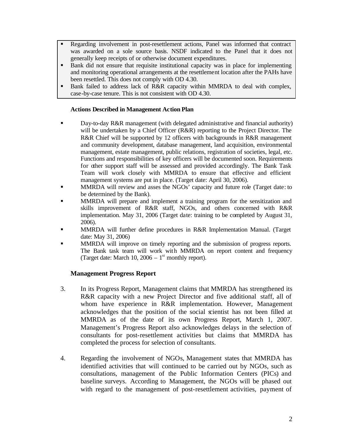- **Regarding involvement in post-resettlement actions, Panel was informed that contract** was awarded on a sole source basis. NSDF indicated to the Panel that it does not generally keep receipts of or otherwise document expenditures.
- **Bank** did not ensure that requisite institutional capacity was in place for implementing and monitoring operational arrangements at the resettlement location after the PAHs have been resettled. This does not comply with OD 4.30.
- **Bank failed to address lack of R&R capacity within MMRDA to deal with complex,** case-by-case tenure. This is not consistent with OD 4.30.

#### **Actions Described in Management Action Plan**

- **Bay-to-day R&R management (with delegated administrative and financial authority)** will be undertaken by a Chief Officer (R&R) reporting to the Project Director. The R&R Chief will be supported by 12 officers with backgrounds in R&R management and community development, database management, land acquisition, environmental management, estate management, public relations, registration of societies, legal, etc. Functions and responsibilities of key officers will be documented soon. Requirements for other support staff will be assessed and provided accordingly. The Bank Task Team will work closely with MMRDA to ensure that effective and efficient management systems are put in place. (Target date: April 30, 2006).
- **MMRDA** will review and asses the NGOs' capacity and future role (Target date: to be determined by the Bank).
- ß MMRDA will prepare and implement a training program for the sensitization and skills improvement of R&R staff, NGOs, and others concerned with R&R implementation. May 31, 2006 (Target date: training to be completed by August 31, 2006).
- **KRIMPA will further define procedures in R&R Implementation Manual.** (Target date: May 31, 2006)
- ß MMRDA will improve on timely reporting and the submission of progress reports. The Bank task team will work with MMRDA on report content and frequency (Target date: March 10, 2006 –  $1<sup>st</sup>$  monthly report).

#### **Management Progress Report**

- 3. In its Progress Report, Management claims that MMRDA has strengthened its R&R capacity with a new Project Director and five additional staff, all of whom have experience in R&R implementation. However, Management acknowledges that the position of the social scientist has not been filled at MMRDA as of the date of its own Progress Report, March 1, 2007. Management's Progress Report also acknowledges delays in the selection of consultants for post-resettlement activities but claims that MMRDA has completed the process for selection of consultants.
- 4. Regarding the involvement of NGOs, Management states that MMRDA has identified activities that will continued to be carried out by NGOs, such as consultations, management of the Public Information Centers (PICs) and baseline surveys. According to Management, the NGOs will be phased out with regard to the management of post-resettlement activities, payment of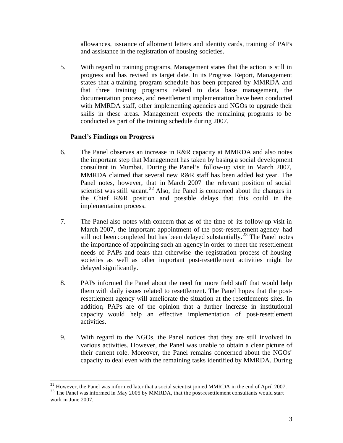allowances, issuance of allotment letters and identity cards, training of PAPs and assistance in the registration of housing societies.

5. With regard to training programs, Management states that the action is still in progress and has revised its target date. In its Progress Report, Management states that a training program schedule has been prepared by MMRDA and that three training programs related to data base management, the documentation process, and resettlement implementation have been conducted with MMRDA staff, other implementing agencies and NGOs to upgrade their skills in these areas. Management expects the remaining programs to be conducted as part of the training schedule during 2007.

#### **Panel's Findings on Progress**

- 6. The Panel observes an increase in R&R capacity at MMRDA and also notes the important step that Management has taken by basing a social development consultant in Mumbai. During the Panel's follow-up visit in March 2007, MMRDA claimed that several new R&R staff has been added last year. The Panel notes, however, that in March 2007 the relevant position of social scientist was still vacant.<sup>22</sup> Also, the Panel is concerned about the changes in the Chief R&R position and possible delays that this could in the implementation process.
- 7. The Panel also notes with concern that as of the time of its follow-up visit in March 2007, the important appointment of the post-resettlement agency had still not been completed but has been delayed substantially.<sup>23</sup> The Panel notes the importance of appointing such an agency in order to meet the resettlement needs of PAPs and fears that otherwise the registration process of housing societies as well as other important post-resettlement activities might be delayed significantly.
- 8. PAPs informed the Panel about the need for more field staff that would help them with daily issues related to resettlement. The Panel hopes that the postresettlement agency will ameliorate the situation at the resettlements sites. In addition, PAPs are of the opinion that a further increase in institutional capacity would help an effective implementation of post-resettlement activities.
- 9. With regard to the NGOs, the Panel notices that they are still involved in various activities. However, the Panel was unable to obtain a clear picture of their current role. Moreover, the Panel remains concerned about the NGOs' capacity to deal even with the remaining tasks identified by MMRDA. During

 $22$  However, the Panel was informed later that a social scientist joined MMRDA in the end of April 2007. <sup>23</sup> The Panel was informed in May 2005 by MMRDA, that the post-resettlement consultants would start work in June 2007.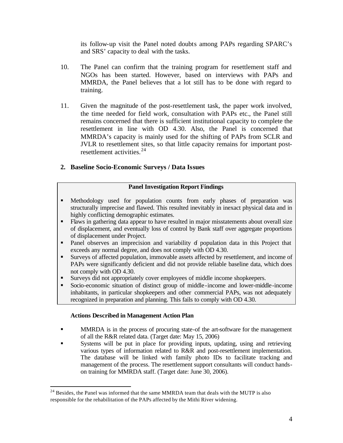its follow-up visit the Panel noted doubts among PAPs regarding SPARC's and SRS' capacity to deal with the tasks.

- 10. The Panel can confirm that the training program for resettlement staff and NGOs has been started. However, based on interviews with PAPs and MMRDA, the Panel believes that a lot still has to be done with regard to training.
- 11. Given the magnitude of the post-resettlement task, the paper work involved, the time needed for field work, consultation with PAPs etc., the Panel still remains concerned that there is sufficient institutional capacity to complete the resettlement in line with OD 4.30. Also, the Panel is concerned that MMRDA's capacity is mainly used for the shifting of PAPs from SCLR and JVLR to resettlement sites, so that little capacity remains for important postresettlement activities.<sup>24</sup>

#### **2. Baseline Socio-Economic Surveys / Data Issues**

#### **Panel Investigation Report Findings**

- ß Methodology used for population counts from early phases of preparation was structurally imprecise and flawed. This resulted inevitably in inexact physical data and in highly conflicting demographic estimates.
- Flaws in gathering data appear to have resulted in major misstatements about overall size of displacement, and eventually loss of control by Bank staff over aggregate proportions of displacement under Project.
- Panel observes an imprecision and variability of population data in this Project that exceeds any normal degree, and does not comply with OD 4.30.
- ß Surveys of affected population, immovable assets affected by resettlement, and income of PAPs were significantly deficient and did not provide reliable baseline data, which does not comply with OD 4.30.
- **Surveys did not appropriately cover employees of middle income shopkeepers.**
- ß Socio-economic situation of distinct group of middle -income and lower-middle-income inhabitants, in particular shopkeepers and other commercial PAPs, was not adequately recognized in preparation and planning. This fails to comply with OD 4.30.

#### **Actions Described in Management Action Plan**

- **KRUPA** Is in the process of procuring state-of the art-software for the management of all the R&R related data. (Target date: May 15, 2006)
- ß Systems will be put in place for providing inputs, updating, using and retrieving various types of information related to R&R and post-resettlement implementation. The database will be linked with family photo IDs to facilitate tracking and management of the process. The resettlement support consultants will conduct handson training for MMRDA staff. (Target date: June 30, 2006).

 $2<sup>24</sup>$  Besides, the Panel was informed that the same MMRDA team that deals with the MUTP is also responsible for the rehabilitation of the PAPs affected by the Mithi River widening.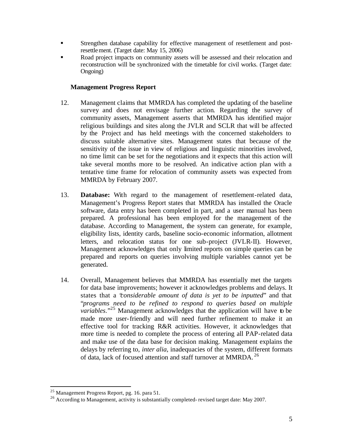- ß Strengthen database capability for effective management of resettlement and postresettlement. (Target date: May 15, 2006)
- **•** Road project impacts on community assets will be assessed and their relocation and reconstruction will be synchronized with the timetable for civil works. (Target date: Ongoing)

#### **Management Progress Report**

- 12. Management claims that MMRDA has completed the updating of the baseline survey and does not envisage further action. Regarding the survey of community assets, Management asserts that MMRDA has identified major religious buildings and sites along the JVLR and SCLR that will be affected by the Project and has held meetings with the concerned stakeholders to discuss suitable alternative sites. Management states that because of the sensitivity of the issue in view of religious and linguistic minorities involved, no time limit can be set for the negotiations and it expects that this action will take several months more to be resolved. An indicative action plan with a tentative time frame for relocation of community assets was expected from MMRDA by February 2007.
- 13. **Database:** With regard to the management of resettlement-related data, Management's Progress Report states that MMRDA has installed the Oracle software, data entry has been completed in part, and a user manual has been prepared. A professional has been employed for the management of the database. According to Management, the system can generate, for example, eligibility lists, identity cards, baseline socio-economic information, allotment letters, and relocation status for one sub-project (JVLR-II). However, Management acknowledges that only limited reports on simple queries can be prepared and reports on queries involving multiple variables cannot yet be generated.
- 14. Overall, Management believes that MMRDA has essentially met the targets for data base improvements; however it acknowledges problems and delays. It states that a "*considerable amount of data is yet to be inputted*" and that "*programs need to be refined to respond to queries based on multiple variables*."<sup>25</sup> Management acknowledges that the application will have to be made more user-friendly and will need further refinement to make it an effective tool for tracking R&R activities. However, it acknowledges that more time is needed to complete the process of entering all PAP-related data and make use of the data base for decision making. Management explains the delays by referring to, *inter alia*, inadequacies of the system, different formats of data, lack of focused attention and staff turnover at MMRDA.<sup>26</sup>

 $^{25}$  Management Progress Report, pg. 16. para 51.

<sup>&</sup>lt;sup>26</sup> According to Management, activity is substantially completed- revised target date: May 2007.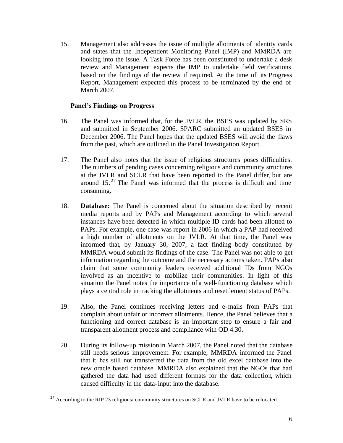15. Management also addresses the issue of multiple allotments of identity cards and states that the Independent Monitoring Panel (IMP) and MMRDA are looking into the issue. A Task Force has been constituted to undertake a desk review and Management expects the IMP to undertake field verifications based on the findings of the review if required. At the time of its Progress Report, Management expected this process to be terminated by the end of March 2007.

#### **Panel's Findings on Progress**

- 16. The Panel was informed that, for the JVLR, the BSES was updated by SRS and submitted in September 2006. SPARC submitted an updated BSES in December 2006. The Panel hopes that the updated BSES will avoid the flaws from the past, which are outlined in the Panel Investigation Report.
- 17. The Panel also notes that the issue of religious structures poses difficulties. The numbers of pending cases concerning religious and community structures at the JVLR and SCLR that have been reported to the Panel differ, but are around  $15.^{27}$  The Panel was informed that the process is difficult and time consuming.
- 18. **Database:** The Panel is concerned about the situation described by recent media reports and by PAPs and Management according to which several instances have been detected in which multiple ID cards had been allotted to PAPs. For example, one case was report in 2006 in which a PAP had received a high number of allotments on the JVLR. At that time, the Panel was informed that, by January 30, 2007, a fact finding body constituted by MMRDA would submit its findings of the case. The Panel was not able to get information regarding the outcome and the necessary actions taken. PAPs also claim that some community leaders received additional IDs from NGOs involved as an incentive to mobilize their communities. In light of this situation the Panel notes the importance of a well-functioning database which plays a central role in tracking the allotments and resettlement status of PAPs.
- 19. Also, the Panel continues receiving letters and e-mails from PAPs that complain about unfair or incorrect allotments. Hence, the Panel believes that a functioning and correct database is an important step to ensure a fair and transparent allotment process and compliance with OD 4.30.
- 20. During its follow-up mission in March 2007, the Panel noted that the database still needs serious improvement. For example, MMRDA informed the Panel that it has still not transferred the data from the old excel database into the new oracle based database. MMRDA also explained that the NGOs that had gathered the data had used different formats for the data collection, which caused difficulty in the data-input into the database.

 $27$  According to the RIP 23 religious/ community structures on SCLR and JVLR have to be relocated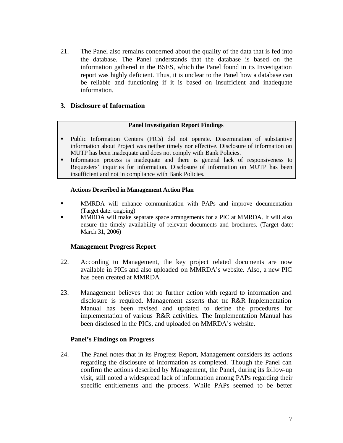21. The Panel also remains concerned about the quality of the data that is fed into the database. The Panel understands that the database is based on the information gathered in the BSES, which the Panel found in its Investigation report was highly deficient. Thus, it is unclear to the Panel how a database can be reliable and functioning if it is based on insufficient and inadequate information.

#### **3. Disclosure of Information**

#### **Panel Investigation Report Findings**

- ß Public Information Centers (PICs) did not operate. Dissemination of substantive information about Project was neither timely nor effective. Disclosure of information on MUTP has been inadequate and does not comply with Bank Policies.
- Information process is inadequate and there is general lack of responsiveness to Requesters' inquiries for information. Disclosure of information on MUTP has been insufficient and not in compliance with Bank Policies.

#### **Actions Described in Management Action Plan**

- **KIMRDA** will enhance communication with PAPs and improve documentation (Target date: ongoing)
- ß MMRDA will make separate space arrangements for a PIC at MMRDA. It will also ensure the timely availability of relevant documents and brochures. (Target date: March 31, 2006)

#### **Management Progress Report**

- 22. According to Management, the key project related documents are now available in PICs and also uploaded on MMRDA's website. Also, a new PIC has been created at MMRDA.
- 23. Management believes that no further action with regard to information and disclosure is required. Management asserts that the R&R Implementation Manual has been revised and updated to define the procedures for implementation of various R&R activities. The Implementation Manual has been disclosed in the PICs, and uploaded on MMRDA's website.

#### **Panel's Findings on Progress**

24. The Panel notes that in its Progress Report, Management considers its actions regarding the disclosure of information as completed. Though the Panel can confirm the actions described by Management, the Panel, during its follow-up visit, still noted a widespread lack of information among PAPs regarding their specific entitlements and the process. While PAPs seemed to be better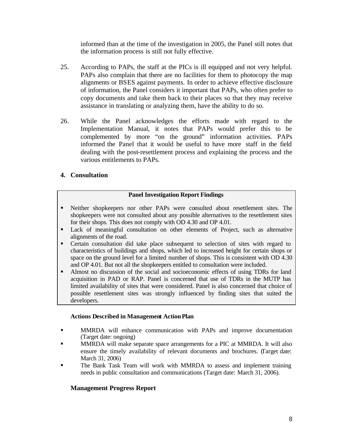informed than at the time of the investigation in 2005, the Panel still notes that the information process is still not fully effective.

- 25. According to PAPs, the staff at the PICs is ill equipped and not very helpful. PAPs also complain that there are no facilities for them to photocopy the map alignments or BSES against payments. In order to achieve effective disclosure of information, the Panel considers it important that PAPs, who often prefer to copy documents and take them back to their places so that they may receive assistance in translating or analyzing them, have the ability to do so.
- 26. While the Panel acknowledges the efforts made with regard to the Implementation Manual, it notes that PAPs would prefer this to be complemented by more "on the ground" information activities. PAPs informed the Panel that it would be useful to have more staff in the field dealing with the post-resettlement process and explaining the process and the various entitlements to PAPs.

#### **4. Consultation**

#### **Panel Investigation Report Findings**

- ß Neither shopkeepers nor other PAPs were consulted about resettlement sites. The shopkeepers were not consulted about any possible alternatives to the resettlement sites for their shops. This does not comply with OD 4.30 and OP 4.01.
- ß Lack of meaningful consultation on other elements of Project, such as alternative alignments of the road.
- Certain consultation did take place subsequent to selection of sites with regard to characteristics of buildings and shops, which led to increased height for certain shops or space on the ground level for a limited number of shops. This is consistent with OD 4.30 and OP 4.01. But not all the shopkeepers entitled to consultation were included.
- ß Almost no discussion of the social and socioeconomic effects of using TDRs for land acquisition in PAD or RAP. Panel is concerned that use of TDRs in the MUTP has limited availability of sites that were considered. Panel is also concerned that choice of possible resettlement sites was strongly influenced by finding sites that suited the developers.

#### **Actions Described in Management Action Plan**

- **In MMRDA** will enhance communication with PAPs and improve documentation (Target date: ongoing)
- **ISPENDA** will make separate space arrangements for a PIC at MMRDA. It will also ensure the timely availability of relevant documents and brochures. (Target date: March 31, 2006)
- ß The Bank Task Team will work with MMRDA to assess and implement training needs in public consultation and communications (Target date: March 31, 2006).

#### **Management Progress Report**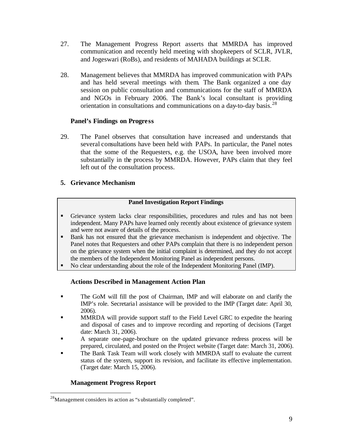- 27. The Management Progress Report asserts that MMRDA has improved communication and recently held meeting with shopkeepers of SCLR, JVLR, and Jogeswari (RoBs), and residents of MAHADA buildings at SCLR.
- 28. Management believes that MMRDA has improved communication with PAPs and has held several meetings with them. The Bank organized a one day session on public consultation and communications for the staff of MMRDA and NGOs in February 2006. The Bank's local consultant is providing orientation in consultations and communications on a day-to-day basis.<sup>28</sup>

#### **Panel's Findings on Progress**

29. The Panel observes that consultation have increased and understands that several consultations have been held with PAPs. In particular, the Panel notes that the some of the Requesters, e.g. the USOA, have been involved more substantially in the process by MMRDA. However, PAPs claim that they feel left out of the consultation process.

#### **5. Grievance Mechanism**

#### **Panel Investigation Report Findings**

- ß Grievance system lacks clear responsibilities, procedures and rules and has not been independent. Many PAPs have learned only recently about existence of grievance system and were not aware of details of the process.
- **Bank has not ensured that the grievance mechanism is independent and objective. The** Panel notes that Requesters and other PAPs complain that there is no independent person on the grievance system when the initial complaint is determined, and they do not accept the members of the Independent Monitoring Panel as independent persons.
- No clear understanding about the role of the Independent Monitoring Panel (IMP).

#### **Actions Described in Management Action Plan**

- ß The GoM will fill the post of Chairman, IMP and will elaborate on and clarify the IMP's role. Secretaria l assistance will be provided to the IMP (Target date: April 30, 2006).
- **ISPENDA** will provide support staff to the Field Level GRC to expedite the hearing and disposal of cases and to improve recording and reporting of decisions (Target date: March 31, 2006).
- ß A separate one-page-brochure on the updated grievance redress process will be prepared, circulated, and posted on the Project website (Target date: March 31, 2006).
- The Bank Task Team will work closely with MMRDA staff to evaluate the current status of the system, support its revision, and facilitate its effective implementation. (Target date: March 15, 2006).

#### **Management Progress Report**

 $^{28}$ Management considers its action as "s ubstantially completed".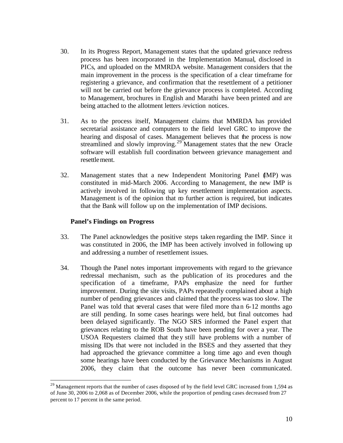- 30. In its Progress Report, Management states that the updated grievance redress process has been incorporated in the Implementation Manual, disclosed in PICs, and uploaded on the MMRDA website. Management considers that the main improvement in the process is the specification of a clear timeframe for registering a grievance, and confirmation that the resettlement of a petitioner will not be carried out before the grievance process is completed. According to Management, brochures in English and Marathi have been printed and are being attached to the allotment letters /eviction notices.
- 31. As to the process itself, Management claims that MMRDA has provided secretarial assistance and computers to the field level GRC to improve the hearing and disposal of cases. Management believes that the process is now streamlined and slowly improving.<sup>29</sup> Management states that the new Oracle software will establish full coordination between grievance management and resettlement.
- 32. Management states that a new Independent Monitoring Panel (IMP) was constituted in mid-March 2006. According to Management, the new IMP is actively involved in following up key resettlement implementation aspects. Management is of the opinion that no further action is required, but indicates that the Bank will follow up on the implementation of IMP decisions.

#### **Panel's Findings on Progress**

- 33. The Panel acknowledges the positive steps taken regarding the IMP. Since it was constituted in 2006, the IMP has been actively involved in following up and addressing a number of resettlement issues.
- 34. Though the Panel notes important improvements with regard to the grievance redressal mechanism, such as the publication of its procedures and the specification of a timeframe, PAPs emphasize the need for further improvement. During the site visits, PAPs repeatedly complained about a high number of pending grievances and claimed that the process was too slow. The Panel was told that several cases that were filed more than 6-12 months ago are still pending. In some cases hearings were held, but final outcomes had been delayed significantly. The NGO SRS informed the Panel expert that grievances relating to the ROB South have been pending for over a year. The USOA Requesters claimed that they still have problems with a number of missing IDs that were not included in the BSES and they asserted that they had approached the grievance committee a long time ago and even though some hearings have been conducted by the Grievance Mechanisms in August 2006, they claim that the outcome has never been communicated.

<sup>&</sup>lt;sup>29</sup> Management reports that the number of cases disposed of by the field level GRC increased from 1,594 as of June 30, 2006 to 2,068 as of December 2006, while the proportion of pending cases decreased from 27 percent to 17 percent in the same period.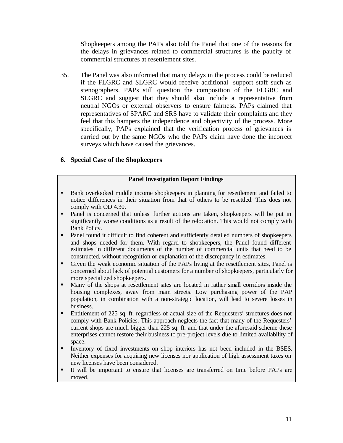Shopkeepers among the PAPs also told the Panel that one of the reasons for the delays in grievances related to commercial structures is the paucity of commercial structures at resettlement sites.

35. The Panel was also informed that many delays in the process could be reduced if the FLGRC and SLGRC would receive additional support staff such as stenographers. PAPs still question the composition of the FLGRC and SLGRC and suggest that they should also include a representative from neutral NGOs or external observers to ensure fairness. PAPs claimed that representatives of SPARC and SRS have to validate their complaints and they feel that this hampers the independence and objectivity of the process. More specifically, PAPs explained that the verification process of grievances is carried out by the same NGOs who the PAPs claim have done the incorrect surveys which have caused the grievances.

#### **6. Special Case of the Shopkeepers**

#### **Panel Investigation Report Findings**

- **Bank overlooked middle income shopkeepers in planning for resettlement and failed to** notice differences in their situation from that of others to be resettled. This does not comply with OD 4.30.
- Panel is concerned that unless further actions are taken, shopkeepers will be put in significantly worse conditions as a result of the relocation. This would not comply with Bank Policy.
- Panel found it difficult to find coherent and sufficiently detailed numbers of shopkeepers and shops needed for them. With regard to shopkeepers, the Panel found different estimates in different documents of the number of commercial units that need to be constructed, without recognition or explanation of the discrepancy in estimates.
- Given the weak economic situation of the PAPs living at the resettlement sites, Panel is concerned about lack of potential customers for a number of shopkeepers, particularly for more specialized shopkeepers.
- Many of the shops at resettlement sites are located in rather small corridors inside the housing complexes, away from main streets. Low purchasing power of the PAP population, in combination with a non-strategic location, will lead to severe losses in business.
- Entitlement of 225 sq. ft. regardless of actual size of the Requesters' structures does not comply with Bank Policies. This approach neglects the fact that many of the Requesters' current shops are much bigger than 225 sq. ft. and that under the aforesaid scheme these enterprises cannot restore their business to pre-project levels due to limited availability of space.
- **Inventory of fixed investments on shop interiors has not been included in the BSES.** Neither expenses for acquiring new licenses nor application of high assessment taxes on new licenses have been considered.
- ß It will be important to ensure that licenses are transferred on time before PAPs are moved.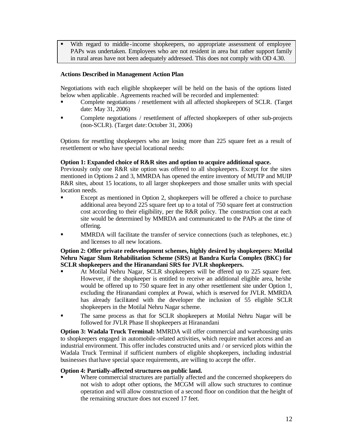With regard to middle-income shopkeepers, no appropriate assessment of employee PAPs was undertaken. Employees who are not resident in area but rather support family in rural areas have not been adequately addressed. This does not comply with OD 4.30.

#### **Actions Described in Management Action Plan**

Negotiations with each eligible shopkeeper will be held on the basis of the options listed below when applicable . Agreements reached will be recorded and implemented:

- ß Complete negotiations / resettlement with all affected shopkeepers of SCLR. (Target date: May 31, 2006)
- ß Complete negotiations / resettlement of affected shopkeepers of other sub-projects (non-SCLR). (Target date: October 31, 2006)

Options for resettling shopkeepers who are losing more than 225 square feet as a result of resettlement or who have special locational needs:

#### **Option 1: Expanded choice of R&R sites and option to acquire additional space.**

Previously only one R&R site option was offered to all shopkeepers. Except for the sites mentioned in Options 2 and 3, MMRDA has opened the entire inventory of MUTP and MUIP R&R sites, about 15 locations, to all larger shopkeepers and those smaller units with special location needs.

- ß Except as mentioned in Option 2, shopkeepers will be offered a choice to purchase additional area beyond 225 square feet up to a total of 750 square feet at construction cost according to their eligibility, per the R&R policy. The construction cost at each site would be determined by MMRDA and communicated to the PAPs at the time of offering.
- **ISPENDER WE MURDA** will facilitate the transfer of service connections (such as telephones, etc.) and licenses to all new locations.

#### **Option 2: Offer private redevelopment schemes, highly desired by shopkeepers: Motilal Nehru Nagar Slum Rehabilitation Scheme (SRS) at Bandra Kurla Complex (BKC) for SCLR shopkeepers and the Hiranandani SRS for JVLR shopkeepers.**

- ß At Motilal Nehru Nagar, SCLR shopkeepers will be offered up to 225 square feet. However, if the shopkeeper is entitled to receive an additional eligible area, he/she would be offered up to 750 square feet in any other resettlement site under Option 1, excluding the Hiranandani complex at Powai, which is reserved for JVLR. MMRDA has already facilitated with the developer the inclusion of 55 eligible SCLR shopkeepers in the Motilal Nehru Nagar scheme.
- ß The same process as that for SCLR shopkeepers at Motilal Nehru Nagar will be followed for JVLR Phase II shopkeepers at Hiranandani

**Option 3: Wadala Truck Terminal:** MMRDA will offer commercial and warehousing units to shopkeepers engaged in automobile -related activities, which require market access and an industrial environment. This offer includes constructed units and / or serviced plots within the Wadala Truck Terminal if sufficient numbers of eligible shopkeepers, including industrial businesses that have special space requirements, are willing to accept the offer.

#### **Option 4: Partially-affected structures on public land.**

Where commercial structures are partially affected and the concerned shopkeepers do not wish to adopt other options, the MCGM will allow such structures to continue operation and will allow construction of a second floor on condition that the height of the remaining structure does not exceed 17 feet.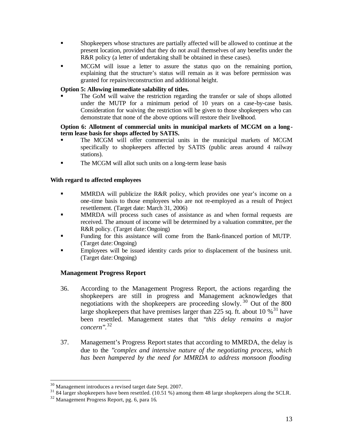- ß Shopkeepers whose structures are partially affected will be allowed to continue at the present location, provided that they do not avail themselves of any benefits under the R&R policy (a letter of undertaking shall be obtained in these cases).
- ß MCGM will issue a letter to assure the status quo on the remaining portion, explaining that the structure's status will remain as it was before permission was granted for repairs/reconstruction and additional height.

#### **Option 5: Allowing immediate salability of titles.**

ß The GoM will waive the restriction regarding the transfer or sale of shops allotted under the MUTP for a minimum period of 10 years on a case-by-case basis. Consideration for waiving the restriction will be given to those shopkeepers who can demonstrate that none of the above options will restore their livelihood.

#### **Option 6: Allotment of commercial units in municipal markets of MCGM on a longterm lease basis for shops affected by SATIS.**

- ß The MCGM will offer commercial units in the municipal markets of MCGM specifically to shopkeepers affected by SATIS (public areas around 4 railway stations).
- **The MCGM will allot such units on a long-term lease basis**

#### **With regard to affected employees**

- **KRED MMRDA** will publicize the R&R policy, which provides one year's income on a one-time basis to those employees who are not re-employed as a result of Project resettlement. (Target date: March 31, 2006)
- **IMMRDA** will process such cases of assistance as and when formal requests are received. The amount of income will be determined by a valuation committee, per the R&R policy. (Target date: Ongoing)
- ß Funding for this assistance will come from the Bank-financed portion of MUTP. (Target date:Ongoing)
- ß Employees will be issued identity cards prior to displacement of the business unit. (Target date:Ongoing)

#### **Management Progress Report**

- 36. According to the Management Progress Report, the actions regarding the shopkeepers are still in progress and Management acknowledges that negotiations with the shopkeepers are proceeding slowly. <sup>30</sup> Out of the 800 large shopkeepers that have premises larger than 225 sq. ft. about 10  $\%$ <sup>31</sup> have been resettled. Management states that "*this delay remains a major concern*". 32
- 37. Management's Progress Report states that according to MMRDA, the delay is due to the "*complex and intensive nature of the negotiating process, which has been hampered by the need for MMRDA to address monsoon flooding*

 $30$  Management introduces a revised target date Sept. 2007.

<sup>&</sup>lt;sup>31</sup> 84 larger shopkeepers have been resettled. (10.51 %) among them 48 large shopkeepers along the SCLR.

<sup>32</sup> Management Progress Report, pg. 6, para 16.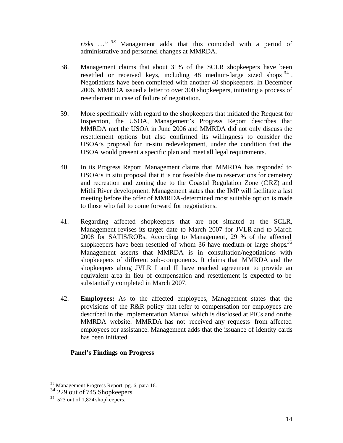*risks …" <sup>33</sup>* Management adds that this coincided with a period of administrative and personnel changes at MMRDA.

- 38. Management claims that about 31% of the SCLR shopkeepers have been resettled or received keys, including  $48$  medium-large sized shops  $34$ . Negotiations have been completed with another 40 shopkeepers. In December 2006, MMRDA issued a letter to over 300 shopkeepers, initiating a process of resettlement in case of failure of negotiation.
- 39. More specifically with regard to the shopkeepers that initiated the Request for Inspection, the USOA, Management's Progress Report describes that MMRDA met the USOA in June 2006 and MMRDA did not only discuss the resettlement options but also confirmed its willingness to consider the USOA's proposal for in-situ redevelopment, under the condition that the USOA would present a specific plan and meet all legal requirements.
- 40. In its Progress Report Management claims that MMRDA has responded to USOA's in situ proposal that it is not feasible due to reservations for cemetery and recreation and zoning due to the Coastal Regulation Zone (CRZ) and Mithi River development. Management states that the IMP will facilitate a last meeting before the offer of MMRDA-determined most suitable option is made to those who fail to come forward for negotiations.
- 41. Regarding affected shopkeepers that are not situated at the SCLR, Management revises its target date to March 2007 for JVLR and to March 2008 for SATIS/ROBs. According to Management, 29 % of the affected shopkeepers have been resettled of whom 36 have medium-or large shops.<sup>35</sup> Management asserts that MMRDA is in consultation/negotiations with shopkeepers of different sub-components. It claims that MMRDA and the shopkeepers along JVLR I and II have reached agreement to provide an equivalent area in lieu of compensation and resettlement is expected to be substantially completed in March 2007.
- 42. **Employees:** As to the affected employees, Management states that the provisions of the R&R policy that refer to compensation for employees are described in the Implementation Manual which is disclosed at PICs and on the MMRDA website. MMRDA has not received any requests from affected employees for assistance. Management adds that the issuance of identity cards has been initiated.

#### **Panel's Findings on Progress**

<sup>&</sup>lt;sup>33</sup> Management Progress Report, pg. 6, para 16.

 $34$  229 out of 745 Shopkeepers.

 $35$  523 out of 1,824 shopkeepers.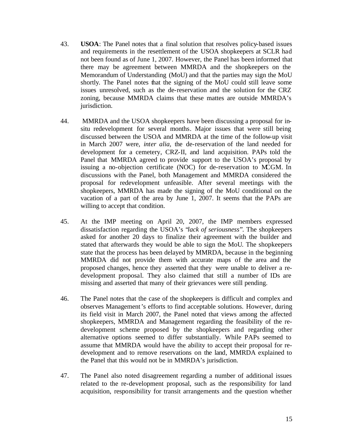- 43. **USOA**: The Panel notes that a final solution that resolves policy-based issues and requirements in the resettlement of the USOA shopkeepers at SCLR had not been found as of June 1, 2007. However, the Panel has been informed that there may be agreement between MMRDA and the shopkeepers on the Memorandum of Understanding (MoU) and that the parties may sign the MoU shortly. The Panel notes that the signing of the MoU could still leave some issues unresolved, such as the de-reservation and the solution for the CRZ zoning, because MMRDA claims that these mattes are outside MMRDA's jurisdiction.
- 44. MMRDA and the USOA shopkeepers have been discussing a proposal for insitu redevelopment for several months. Major issues that were still being discussed between the USOA and MMRDA at the time of the follow-up visit in March 2007 were, *inter alia,* the de-reservation of the land needed for development for a cemetery, CRZ-II, and land acquisition. PAPs told the Panel that MMRDA agreed to provide support to the USOA's proposal by issuing a no-objection certificate (NOC) for de-reservation to MCGM. In discussions with the Panel, both Management and MMRDA considered the proposal for redevelopment unfeasible. After several meetings with the shopkeepers, MMRDA has made the signing of the MoU conditional on the vacation of a part of the area by June 1, 2007. It seems that the PAPs are willing to accept that condition.
- 45. At the IMP meeting on April 20, 2007, the IMP members expressed dissatisfaction regarding the USOA's "*lack of seriousness*". The shopkeepers asked for another 20 days to finalize their agreement with the builder and stated that afterwards they would be able to sign the MoU. The shopkeepers state that the process has been delayed by MMRDA, because in the beginning MMRDA did not provide them with accurate maps of the area and the proposed changes, hence they asserted that they were unable to deliver a redevelopment proposal. They also claimed that still a number of IDs are missing and asserted that many of their grievances were still pending.
- 46. The Panel notes that the case of the shopkeepers is difficult and complex and observes Management's efforts to find acceptable solutions. However, during its field visit in March 2007, the Panel noted that views among the affected shopkeepers, MMRDA and Management regarding the feasibility of the redevelopment scheme proposed by the shopkeepers and regarding other alternative options seemed to differ substantially. While PAPs seemed to assume that MMRDA would have the ability to accept their proposal for redevelopment and to remove reservations on the land, MMRDA explained to the Panel that this would not be in MMRDA's jurisdiction.
- 47. The Panel also noted disagreement regarding a number of additional issues related to the re-development proposal, such as the responsibility for land acquisition, responsibility for transit arrangements and the question whether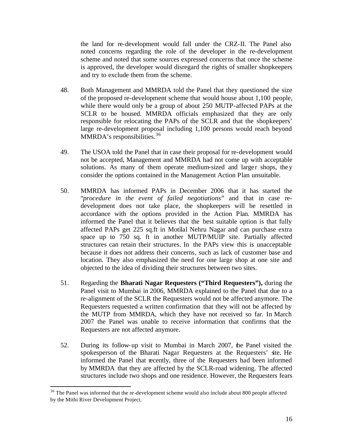the land for re-development would fall under the CRZ-II. The Panel also noted concerns regarding the role of the developer in the re-development scheme and noted that some sources expressed concerns that once the scheme is approved, the developer would disregard the rights of smaller shopkeepers and try to exclude them from the scheme.

- 48. Both Management and MMRDA told the Panel that they questioned the size of the proposed re-development scheme that would house about 1,100 people, while there would only be a group of about 250 MUTP-affected PAPs at the SCLR to be housed. MMRDA officials emphasized that they are only responsible for relocating the PAPs of the SCLR and that the shopkeepers' large re-development proposal including 1,100 persons would reach beyond MMRDA's responsibilities.<sup>36</sup>
- 49. The USOA told the Panel that in case their proposal for re-development would not be accepted, Management and MMRDA had not come up with acceptable solutions. As many of them operate medium-sized and larger shops, they consider the options contained in the Management Action Plan unsuitable.
- 50. MMRDA has informed PAPs in December 2006 that it has started the "*procedure in the event of failed negotiations*" and that in case redevelopment does not take place, the shopkeepers will be resettled in accordance with the options provided in the Action Plan. MMRDA has informed the Panel that it believes that the best suitable option is that fully affected PAPs get 225 sq.ft in Motilal Nehru Nagar and can purchase extra space up to 750 sq. ft in another MUTP/MUIP site. Partially affected structures can retain their structures. In the PAPs view this is unacceptable because it does not address their concerns, such as lack of customer base and location. They also emphasized the need for one large shop at one site and objected to the idea of dividing their structures between two sites.
- 51. Regarding the **Bharati Nagar Requesters ("Third Requesters"),** during the Panel visit to Mumbai in 2006, MMRDA explained to the Panel that due to a re-alignment of the SCLR the Requesters would not be affected anymore. The Requesters requested a written confirmation that they will not be affected by the MUTP from MMRDA, which they have not received so far. In March 2007 the Panel was unable to receive information that confirms that the Requesters are not affected anymore.
- 52. During its follow-up visit to Mumbai in March 2007, the Panel visited the spokesperson of the Bharati Nagar Requesters at the Requesters' site. He informed the Panel that recently, three of the Requesters had been informed by MMRDA that they are affected by the SCLR-road widening. The affected structures include two shops and one residence. However, the Requesters fears

 $36$  The Panel was informed that the re-development scheme would also include about 800 people affected by the Mithi River Development Project.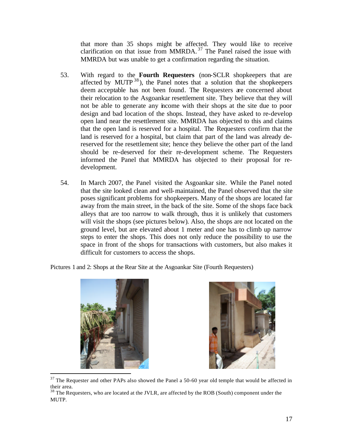that more than 35 shops might be affected. They would like to receive clarification on that issue from MMRDA.<sup>37</sup> The Panel raised the issue with MMRDA but was unable to get a confirmation regarding the situation.

- 53. With regard to the **Fourth Requesters** (non-SCLR shopkeepers that are affected by MUTP  $^{38}$ ), the Panel notes that a solution that the shopkeepers deem acceptable has not been found. The Requesters are concerned about their relocation to the Asgoankar resettlement site. They believe that they will not be able to generate any income with their shops at the site due to poor design and bad location of the shops. Instead, they have asked to re-develop open land near the resettlement site. MMRDA has objected to this and claims that the open land is reserved for a hospital. The Requesters confirm that the land is reserved for a hospital, but claim that part of the land was already dereserved for the resettlement site; hence they believe the other part of the land should be re-deserved for their re-development scheme. The Requesters informed the Panel that MMRDA has objected to their proposal for redevelopment.
- 54. In March 2007, the Panel visited the Asgoankar site. While the Panel noted that the site looked clean and well-maintained, the Panel observed that the site poses significant problems for shopkeepers. Many of the shops are located far away from the main street, in the back of the site. Some of the shops face back alleys that are too narrow to walk through, thus it is unlikely that customers will visit the shops (see pictures below). Also, the shops are not located on the ground level, but are elevated about 1 meter and one has to climb up narrow steps to enter the shops. This does not only reduce the possibility to use the space in front of the shops for transactions with customers, but also makes it difficult for customers to access the shops.

Pictures 1 and 2: Shops at the Rear Site at the Asgoankar Site (Fourth Requesters)





 $37$  The Requester and other PAPs also showed the Panel a 50-60 year old temple that would be affected in their area.

<sup>&</sup>lt;sup>38</sup> The Requesters, who are located at the JVLR, are affected by the ROB (South) component under the MUTP.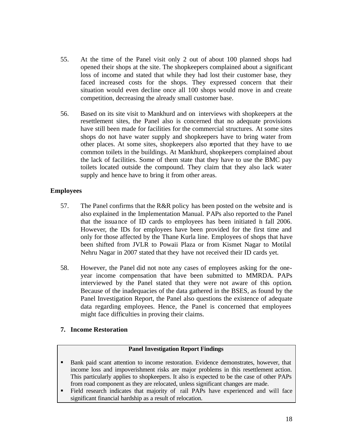- 55. At the time of the Panel visit only 2 out of about 100 planned shops had opened their shops at the site. The shopkeepers complained about a significant loss of income and stated that while they had lost their customer base, they faced increased costs for the shops. They expressed concern that their situation would even decline once all 100 shops would move in and create competition, decreasing the already small customer base.
- 56. Based on its site visit to Mankhurd and on interviews with shopkeepers at the resettlement sites, the Panel also is concerned that no adequate provisions have still been made for facilities for the commercial structures. At some sites shops do not have water supply and shopkeepers have to bring water from other places. At some sites, shopkeepers also reported that they have to use common toilets in the buildings. At Mankhurd, shopkeepers complained about the lack of facilities. Some of them state that they have to use the BMC pay toilets located outside the compound. They claim that they also lack water supply and hence have to bring it from other areas.

#### **Employees**

- 57. The Panel confirms that the R&R policy has been posted on the website and is also explained in the Implementation Manual. PAPs also reported to the Panel that the issuance of ID cards to employees has been initiated in fall 2006. However, the IDs for employees have been provided for the first time and only for those affected by the Thane Kurla line. Employees of shops that have been shifted from JVLR to Powaii Plaza or from Kismet Nagar to Motilal Nehru Nagar in 2007 stated that they have not received their ID cards yet.
- 58. However, the Panel did not note any cases of employees asking for the oneyear income compensation that have been submitted to MMRDA. PAPs interviewed by the Panel stated that they were not aware of this option. Because of the inadequacies of the data gathered in the BSES, as found by the Panel Investigation Report, the Panel also questions the existence of adequate data regarding employees. Hence, the Panel is concerned that employees might face difficulties in proving their claims.

#### **7. Income Restoration**

#### **Panel Investigation Report Findings**

- **Bank paid scant attention to income restoration. Evidence demonstrates, however, that** income loss and impoverishment risks are major problems in this resettlement action. This particularly applies to shopkeepers. It also is expected to be the case of other PAPs from road component as they are relocated, unless significant changes are made.
- ß Field research indicates that majority of rail PAPs have experienced and will face significant financial hardship as a result of relocation.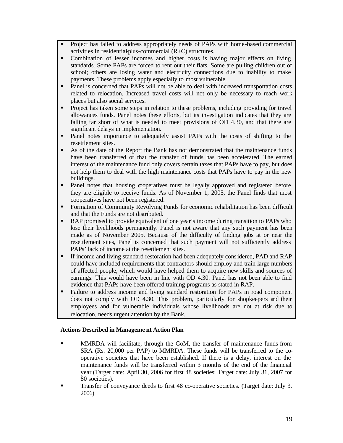- Project has failed to address appropriately needs of PAPs with home-based commercial activities in residential-plus-commercial (R+C) structures.
- Combination of lesser incomes and higher costs is having major effects on living standards. Some PAPs are forced to rent out their flats. Some are pulling children out of school; others are losing water and electricity connections due to inability to make payments. These problems apply especially to most vulnerable.
- Panel is concerned that PAPs will not be able to deal with increased transportation costs related to relocation. Increased travel costs will not only be necessary to reach work places but also social services.
- Project has taken some steps in relation to these problems, including providing for travel allowances funds. Panel notes these efforts, but its investigation indicates that they are falling far short of what is needed to meet provisions of OD 4.30, and that there are significant delays in implementation.
- Panel notes importance to adequately assist PAPs with the costs of shifting to the resettlement sites.
- **B** As of the date of the Report the Bank has not demonstrated that the maintenance funds have been transferred or that the transfer of funds has been accelerated. The earned interest of the maintenance fund only covers certain taxes that PAPs have to pay, but does not help them to deal with the high maintenance costs that PAPs have to pay in the new buildings.
- Panel notes that housing cooperatives must be legally approved and registered before they are eligible to receive funds. As of November 1, 2005, the Panel finds that most cooperatives have not been registered.
- **Formation of Community Revolving Funds for economic rehabilitation has been difficult** and that the Funds are not distributed.
- **RAP** promised to provide equivalent of one year's income during transition to PAPs who lose their livelihoods permanently. Panel is not aware that any such payment has been made as of November 2005. Because of the difficulty of finding jobs at or near the resettlement sites, Panel is concerned that such payment will not sufficiently address PAPs' lack of income at the resettlement sites.
- **F** If income and living standard restoration had been adequately considered, PAD and RAP could have included requirements that contractors should employ and train large numbers of affected people, which would have helped them to acquire new skills and sources of earnings. This would have been in line with OD 4.30. Panel has not been able to find evidence that PAPs have been offered training programs as stated in RAP.
- Failure to address income and living standard restoration for PAPs in road component does not comply with OD 4.30. This problem, particularly for shopkeepers and their employees and for vulnerable individuals whose livelihoods are not at risk due to relocation, needs urgent attention by the Bank.

#### **Actions Described in Manageme nt Action Plan**

- **ISPERT MURDA** will facilitate, through the GoM, the transfer of maintenance funds from SRA (Rs. 20,000 per PAP) to MMRDA. These funds will be transferred to the cooperative societies that have been established. If there is a delay, interest on the maintenance funds will be transferred within 3 months of the end of the financial year (Target date: April 30, 2006 for first 48 societies; Target date: July 31, 2007 for 80 societies).
- ß Transfer of conveyance deeds to first 48 co-operative societies. (Target date: July 3, 2006)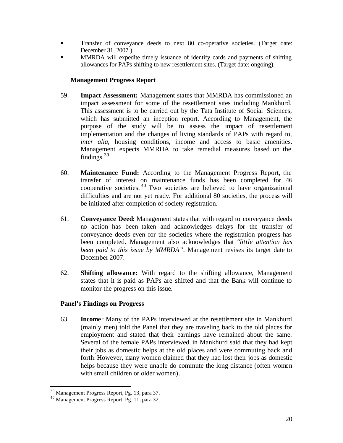- **Transfer of conveyance deeds to next 80 co-operative societies.** (Target date: December 31, 2007.)
- **ISPENDA** will expedite timely issuance of identify cards and payments of shifting allowances for PAPs shifting to new resettlement sites. (Target date: ongoing).

#### **Management Progress Report**

- 59. **Impact Assessment:** Management states that MMRDA has commissioned an impact assessment for some of the resettlement sites including Mankhurd. This assessment is to be carried out by the Tata Institute of Social Sciences, which has submitted an inception report. According to Management, the purpose of the study will be to assess the impact of resettlement implementation and the changes of living standards of PAPs with regard to, *inter alia,* housing conditions, income and access to basic amenities. Management expects MMRDA to take remedial measures based on the findings.  $39$
- 60. **Maintenance Fund:** According to the Management Progress Report, the transfer of interest on maintenance funds has been completed for 46 cooperative societies. <sup>40</sup> Two societies are believed to have organizational difficulties and are not yet ready. For additional 80 societies, the process will be initiated after completion of society registration.
- 61. **Conveyance Deed:** Management states that with regard to conveyance deeds no action has been taken and acknowledges delays for the transfer of conveyance deeds even for the societies where the registration progress has been completed. Management also acknowledges that "*little attention has been paid to this issue by MMRDA*". Management revises its target date to December 2007.
- 62. **Shifting allowance:** With regard to the shifting allowance, Management states that it is paid as PAPs are shifted and that the Bank will continue to monitor the progress on this issue.

#### **Panel's Findings on Progress**

63. **Income** : Many of the PAPs interviewed at the resettlement site in Mankhurd (mainly men) told the Panel that they are traveling back to the old places for employment and stated that their earnings have remained about the same. Several of the female PAPs interviewed in Mankhurd said that they had kept their jobs as domestic helps at the old places and were commuting back and forth. However, many women claimed that they had lost their jobs as domestic helps because they were unable do commute the long distance (often women with small children or older women).

<sup>&</sup>lt;sup>39</sup> Management Progress Report, Pg. 13, para 37.

<sup>40</sup> Management Progress Report, Pg. 11, para 32.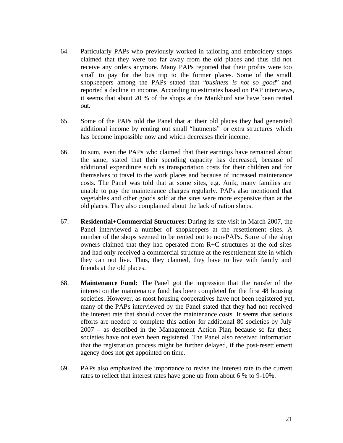- 64. Particularly PAPs who previously worked in tailoring and embroidery shops claimed that they were too far away from the old places and thus did not receive any orders anymore. Many PAPs reported that their profits were too small to pay for the bus trip to the former places. Some of the small shopkeepers among the PAPs stated that "*business is not so good*" and reported a decline in income. According to estimates based on PAP interviews, it seems that about 20 % of the shops at the Mankhurd site have been rented out.
- 65. Some of the PAPs told the Panel that at their old places they had generated additional income by renting out small "hutments" or extra structures which has become impossible now and which decreases their income.
- 66. In sum, even the PAPs who claimed that their earnings have remained about the same, stated that their spending capacity has decreased, because of additional expenditure such as transportation costs for their children and for themselves to travel to the work places and because of increased maintenance costs. The Panel was told that at some sites, e.g. Anik, many families are unable to pay the maintenance charges regularly. PAPs also mentioned that vegetables and other goods sold at the sites were more expensive than at the old places. They also complained about the lack of ration shops.
- 67. **Residential+Commercial Structures**: During its site visit in March 2007, the Panel interviewed a number of shopkeepers at the resettlement sites. A number of the shops seemed to be rented out to non-PAPs. Some of the shop owners claimed that they had operated from R+C structures at the old sites and had only received a commercial structure at the resettlement site in which they can not live. Thus, they claimed, they have to live with family and friends at the old places.
- 68. **Maintenance Fund:** The Panel got the impression that the transfer of the interest on the maintenance fund has been completed for the first 48 housing societies. However, as most housing cooperatives have not been registered yet, many of the PAPs interviewed by the Panel stated that they had not received the interest rate that should cover the maintenance costs. It seems that serious efforts are needed to complete this action for additional 80 societies by July 2007 – as described in the Management Action Plan, because so far these societies have not even been registered. The Panel also received information that the registration process might be further delayed, if the post-resettlement agency does not get appointed on time.
- 69. PAPs also emphasized the importance to revise the interest rate to the current rates to reflect that interest rates have gone up from about 6 % to 9-10%.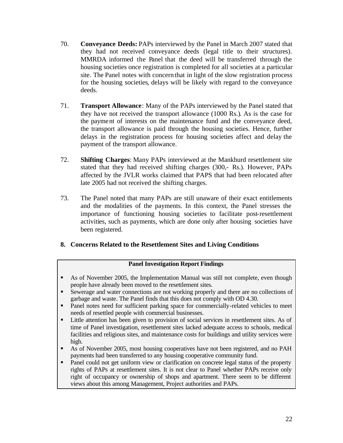- 70. **Conveyance Deeds:** PAPs interviewed by the Panel in March 2007 stated that they had not received conveyance deeds (legal title to their structures). MMRDA informed the Panel that the deed will be transferred through the housing societies once registration is completed for all societies at a particular site. The Panel notes with concern that in light of the slow registration process for the housing societies, delays will be likely with regard to the conveyance deeds.
- 71. **Transport Allowance**: Many of the PAPs interviewed by the Panel stated that they have not received the transport allowance (1000 Rs.). As is the case for the payment of interests on the maintenance fund and the conveyance deed, the transport allowance is paid through the housing societies. Hence, further delays in the registration process for housing societies affect and delay the payment of the transport allowance.
- 72. **Shifting Charges**: Many PAPs interviewed at the Mankhurd resettlement site stated that they had received shifting charges (300,- Rs.). However, PAPs affected by the JVLR works claimed that PAPS that had been relocated after late 2005 had not received the shifting charges.
- 73. The Panel noted that many PAPs are still unaware of their exact entitlements and the modalities of the payments. In this context, the Panel stresses the importance of functioning housing societies to facilitate post-resettlement activities, such as payments, which are done only after housing societies have been registered.

#### **8. Concerns Related to the Resettlement Sites and Living Conditions**

#### **Panel Investigation Report Findings**

- **B** As of November 2005, the Implementation Manual was still not complete, even though people have already been moved to the resettlement sites.
- ß Sewerage and water connections are not working properly and there are no collections of garbage and waste. The Panel finds that this does not comply with OD 4.30.
- Panel notes need for sufficient parking space for commercially-related vehicles to meet needs of resettled people with commercial businesses.
- **Example 1** Little attention has been given to provision of social services in resettlement sites. As of time of Panel investigation, resettlement sites lacked adequate access to schools, medical facilities and religious sites, and maintenance costs for buildings and utility services were high.
- **As of November 2005, most housing cooperatives have not been registered, and no PAH** payments had been transferred to any housing cooperative community fund.
- Panel could not get uniform view or clarification on concrete legal status of the property rights of PAPs at resettlement sites. It is not clear to Panel whether PAPs receive only right of occupancy or ownership of shops and apartment. There seem to be different views about this among Management, Project authorities and PAPs.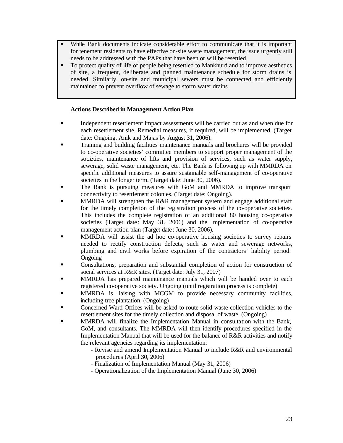- ß While Bank documents indicate considerable effort to communicate that it is important for tenement residents to have effective on-site waste management, the issue urgently still needs to be addressed with the PAPs that have been or will be resettled.
- To protect quality of life of people being resettled to Mankhurd and to improve aesthetics of site, a frequent, deliberate and planned maintenance schedule for storm drains is needed. Similarly, on-site and municipal sewers must be connected and efficiently maintained to prevent overflow of sewage to storm water drains.

#### **Actions Described in Management Action Plan**

- **Independent resettlement impact assessments will be carried out as and when due for** each resettlement site. Remedial measures, if required, will be implemented. (Target date: Ongoing. Anik and Majas by August 31, 2006).
- ß Training and building facilities maintenance manuals and brochures will be provided to co-operative societies' committee members to support proper management of the societies, maintenance of lifts and provision of services, such as water supply, sewerage, solid waste management, etc. The Bank is following up with MMRDA on specific additional measures to assure sustainable self-management of co-operative societies in the longer term. (Target date: June 30, 2006).
- ß The Bank is pursuing measures with GoM and MMRDA to improve transport connectivity to resettlement colonies. (Target date: Ongoing).
- ß MMRDA will strengthen the R&R management system and engage additional staff for the timely completion of the registration process of the co-operative societies. This includes the complete registration of an additional 80 housing co-operative societies (Target date: May 31, 2006) and the Implementation of co-operative management action plan (Target date : June 30, 2006).
- ß MMRDA will assist the ad hoc co-operative housing societies to survey repairs needed to rectify construction defects, such as water and sewerage networks, plumbing and civil works before expiration of the contractors' liability period. **Ongoing**
- ß Consultations, preparation and substantial completion of action for construction of social services at R&R sites. (Target date: July 31, 2007)
- **ISPENT MMRDA** has prepared maintenance manuals which will be handed over to each registered co-operative society. Ongoing (until registration process is complete)
- ß MMRDA is liaising with MCGM to provide necessary community facilities, including tree plantation. (Ongoing)
- ß Concerned Ward Offices will be asked to route solid waste collection vehicles to the resettlement sites for the timely collection and disposal of waste. (Ongoing)
- ß MMRDA will finalize the Implementation Manual in consultation with the Bank, GoM, and consultants. The MMRDA will then identify procedures specified in the Implementation Manual that will be used for the balance of R&R activities and notify the relevant agencies regarding its implementation:
	- Revise and amend Implementation Manual to include R&R and environmental procedures (April 30, 2006)
	- Finalization of Implementation Manual (May 31, 2006)
	- Operationalization of the Implementation Manual (June 30, 2006)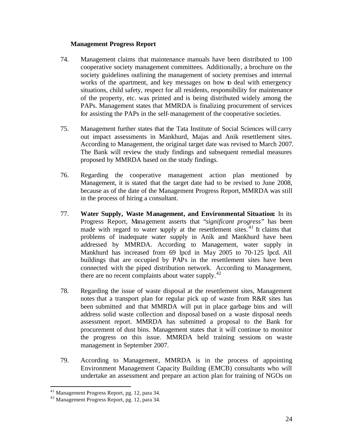#### **Management Progress Report**

- 74. Management claims that maintenance manuals have been distributed to 100 cooperative society management committees. Additionally, a brochure on the society guidelines outlining the management of society premises and internal works of the apartment, and key messages on how to deal with emergency situations, child safety, respect for all residents, responsibility for maintenance of the property, etc. was printed and is being distributed widely among the PAPs. Management states that MMRDA is finalizing procurement of services for assisting the PAPs in the self-management of the cooperative societies.
- 75. Management further states that the Tata Institute of Social Sciences will carry out impact assessments in Mankhurd, Majas and Anik resettlement sites. According to Management, the original target date was revised to March 2007. The Bank will review the study findings and subsequent remedial measures proposed by MMRDA based on the study findings.
- 76. Regarding the cooperative management action plan mentioned by Management, it is stated that the target date had to be revised to June 2008, because as of the date of the Management Progress Report, MMRDA was still in the process of hiring a consultant.
- 77. **Water Supply, Waste Management, and Environmental Situation:** In its Progress Report, Management asserts that "*significant progress*" has been made with regard to water supply at the resettlement sites.<sup>41</sup> It claims that problems of inadequate water supply in Anik and Mankhurd have been addressed by MMRDA. According to Management, water supply in Mankhurd has increased from 69 lpcd in May 2005 to 70-125 lpcd. All buildings that are occupied by PAPs in the resettlement sites have been connected with the piped distribution network. According to Management, there are no recent complaints about water supply.<sup>42</sup>
- 78. Regarding the issue of waste disposal at the resettlement sites, Management notes that a transport plan for regular pick up of waste from R&R sites has been submitted and that MMRDA will put in place garbage bins and will address solid waste collection and disposal based on a waste disposal needs assessment report. MMRDA has submitted a proposal to the Bank for procurement of dust bins. Management states that it will continue to monitor the progress on this issue. MMRDA held training sessions on waste management in September 2007.
- 79. According to Management, MMRDA is in the process of appointing Environment Management Capacity Building (EMCB) consultants who will undertake an assessment and prepare an action plan for training of NGOs on

<sup>&</sup>lt;sup>41</sup> Management Progress Report, pg. 12, para 34.

<sup>42</sup> Management Progress Report, pg. 12, para 34.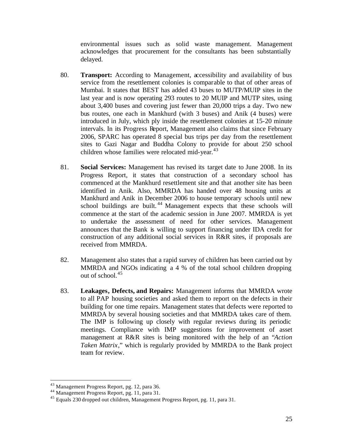environmental issues such as solid waste management. Management acknowledges that procurement for the consultants has been substantially delayed.

- 80. **Transport:** According to Management, accessibility and availability of bus service from the resettlement colonies is comparable to that of other areas of Mumbai. It states that BEST has added 43 buses to MUTP/MUIP sites in the last year and is now operating 293 routes to 20 MUIP and MUTP sites, using about 3,400 buses and covering just fewer than 20,000 trips a day. Two new bus routes, one each in Mankhurd (with 3 buses) and Anik (4 buses) were introduced in July, which ply inside the resettlement colonies at 15-20 minute intervals. In its Progress Report, Management also claims that since February 2006, SPARC has operated 8 special bus trips per day from the resettlement sites to Gazi Nagar and Buddha Colony to provide for about 250 school children whose families were relocated mid-year. $43$
- 81. **Social Services:** Management has revised its target date to June 2008. In its Progress Report, it states that construction of a secondary school has commenced at the Mankhurd resettlement site and that another site has been identified in Anik. Also, MMRDA has handed over 48 housing units at Mankhurd and Anik in December 2006 to house temporary schools until new school buildings are built.<sup>44</sup> Management expects that these schools will commence at the start of the academic session in June 2007. MMRDA is yet to undertake the assessment of need for other services. Management announces that the Bank is willing to support financing under IDA credit for construction of any additional social services in R&R sites, if proposals are received from MMRDA.
- 82. Management also states that a rapid survey of children has been carried out by MMRDA and NGOs indicating a 4 % of the total school children dropping out of school.<sup>45</sup>
- 83. **Leakages, Defects, and Repairs:** Management informs that MMRDA wrote to all PAP housing societies and asked them to report on the defects in their building for one time repairs. Management states that defects were reported to MMRDA by several housing societies and that MMRDA takes care of them. The IMP is following up closely with regular reviews during its periodic meetings. Compliance with IMP suggestions for improvement of asset management at R&R sites is being monitored with the help of an "*Action Taken Matrix*," which is regularly provided by MMRDA to the Bank project team for review.

<sup>&</sup>lt;sup>43</sup> Management Progress Report, pg. 12, para 36.

<sup>44</sup> Management Progress Report, pg. 11, para 31.

 $45$  Equals 230 dropped out children, Management Progress Report, pg. 11, para 31.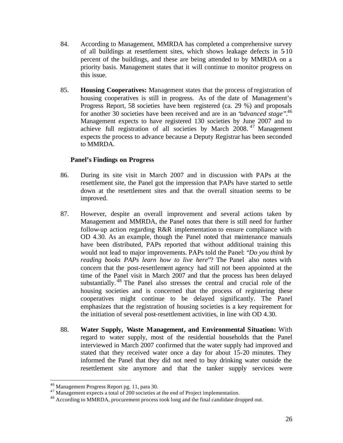- 84. According to Management, MMRDA has completed a comprehensive survey of all buildings at resettlement sites, which shows leakage defects in 5-10 percent of the buildings, and these are being attended to by MMRDA on a priority basis. Management states that it will continue to monitor progress on this issue.
- 85. **Housing Cooperatives:** Management states that the process of registration of housing cooperatives is still in progress. As of the date of Management's Progress Report, 58 societies have been registered (ca. 29 %) and proposals for another 30 societies have been received and are in an "*advanced stage"*. 46 Management expects to have registered 130 societies by June 2007 and to achieve full registration of all societies by March 2008. <sup>47</sup> Management expects the process to advance because a Deputy Registrar has been seconded to MMRDA.

#### **Panel's Findings on Progress**

- 86. During its site visit in March 2007 and in discussion with PAPs at the resettlement site, the Panel got the impression that PAPs have started to settle down at the resettlement sites and that the overall situation seems to be improved.
- 87. However, despite an overall improvement and several actions taken by Management and MMRDA, the Panel notes that there is still need for further follow-up action regarding R&R implementation to ensure compliance with OD 4.30. As an example, though the Panel noted that maintenance manuals have been distributed, PAPs reported that without additional training this would not lead to major improvements. PAPs told the Panel: "*Do you think by reading books PAPs learn how to live here*"? The Panel also notes with concern that the post-resettlement agency had still not been appointed at the time of the Panel visit in March 2007 and that the process has been delayed substantially. <sup>48</sup> The Panel also stresses the central and crucial role of the housing societies and is concerned that the process of registering these cooperatives might continue to be delayed significantly. The Panel emphasizes that the registration of housing societies is a key requirement for the initiation of several post-resettlement activities, in line with OD 4.30.
- 88. **Water Supply, Waste Management, and Environmental Situation:** With regard to water supply, most of the residential households that the Panel interviewed in March 2007 confirmed that the water supply had improved and stated that they received water once a day for about 15-20 minutes. They informed the Panel that they did not need to buy drinking water outside the resettlement site anymore and that the tanker supply services were

<sup>&</sup>lt;sup>46</sup> Management Progress Report pg. 11, para 30.

<sup>&</sup>lt;sup>47</sup> Management expects a total of 200 societies at the end of Project implementation.

<sup>&</sup>lt;sup>48</sup> According to MMRDA, procurement process took long and the final candidate dropped out.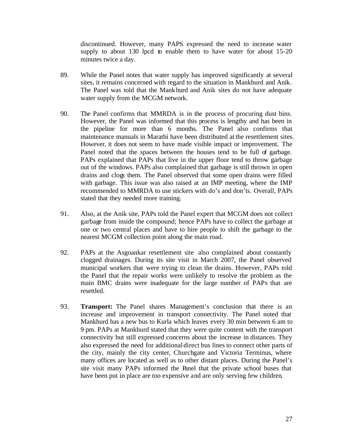discontinued. However, many PAPS expressed the need to increase water supply to about 130 lpcd to enable them to have water for about 15-20 minutes twice a day.

- 89. While the Panel notes that water supply has improved significantly at several sites, it remains concerned with regard to the situation in Mankhurd and Anik. The Panel was told that the Mankhurd and Anik sites do not have adequate water supply from the MCGM network.
- 90. The Panel confirms that MMRDA is in the process of procuring dust bins. However, the Panel was informed that this process is lengthy and has been in the pipeline for more than 6 months. The Panel also confirms that maintenance manuals in Marathi have been distributed at the resettlement sites. However, it does not seem to have made visible impact or improvement. The Panel noted that the spaces between the houses tend to be full of garbage. PAPs explained that PAPs that live in the upper floor tend to throw garbage out of the windows. PAPs also complained that garbage is still thrown in open drains and clogs them. The Panel observed that some open drains were filled with garbage. This issue was also raised at an IMP meeting, where the IMP recommended to MMRDA to use stickers with do's and don'ts. Overall, PAPs stated that they needed more training.
- 91. Also, at the Anik site, PAPs told the Panel expert that MCGM does not collect garbage from inside the compound; hence PAPs have to collect the garbage at one or two central places and have to hire people to shift the garbage to the nearest MCGM collection point along the main road.
- 92. PAPs at the Asgoankar resettlement site also complained about constantly clogged drainages. During its site visit in March 2007, the Panel observed municipal workers that were trying to clean the drains. However, PAPs told the Panel that the repair works were unlikely to resolve the problem as the main BMC drains were inadequate for the large number of PAPs that are resettled.
- 93. **Transport:** The Panel shares Management's conclusion that there is an increase and improvement in transport connectivity. The Panel noted that Mankhurd has a new bus to Kurla which leaves every 30 min between 6 am to 9 pm. PAPs at Mankhurd stated that they were quite content with the transport connectivity but still expressed concerns about the increase in distances. They also expressed the need for additional direct bus lines to connect other parts of the city, mainly the city center, Churchgate and Victoria Terminus, where many offices are located as well as to other distant places. During the Panel's site visit many PAPs informed the Panel that the private school buses that have been put in place are too expensive and are only serving few children.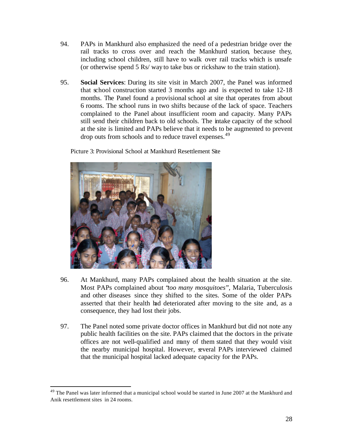- 94. PAPs in Mankhurd also emphasized the need of a pedestrian bridge over the rail tracks to cross over and reach the Mankhurd station, because they, including school children, still have to walk over rail tracks which is unsafe (or otherwise spend 5 Rs/ way to take bus or rickshaw to the train station).
- 95. **Social Services**: During its site visit in March 2007, the Panel was informed that school construction started 3 months ago and is expected to take 12-18 months. The Panel found a provisional school at site that operates from about 6 rooms. The school runs in two shifts because of the lack of space. Teachers complained to the Panel about insufficient room and capacity. Many PAPs still send their children back to old schools. The intake capacity of the school at the site is limited and PAPs believe that it needs to be augmented to prevent drop outs from schools and to reduce travel expenses.<sup>49</sup>

Picture 3: Provisional School at Mankhurd Resettlement Site



- 96. At Mankhurd, many PAPs complained about the health situation at the site. Most PAPs complained about "*too many mosquitoes*", Malaria, Tuberculosis and other diseases since they shifted to the sites. Some of the older PAPs asserted that their health had deteriorated after moving to the site and, as a consequence, they had lost their jobs.
- 97. The Panel noted some private doctor offices in Mankhurd but did not note any public health facilities on the site. PAPs claimed that the doctors in the private offices are not well-qualified and many of them stated that they would visit the nearby municipal hospital. However, several PAPs interviewed claimed that the municipal hospital lacked adequate capacity for the PAPs.

<sup>&</sup>lt;sup>49</sup> The Panel was later informed that a municipal school would be started in June 2007 at the Mankhurd and Anik resettlement sites in 24 rooms.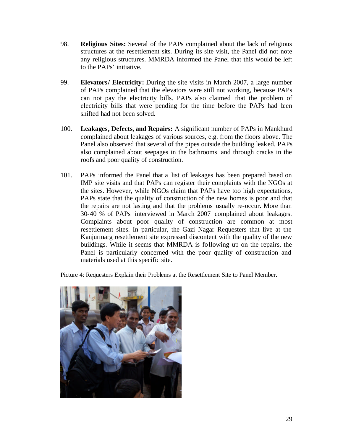- 98. **Religious Sites:** Several of the PAPs complained about the lack of religious structures at the resettlement sits. During its site visit, the Panel did not note any religious structures. MMRDA informed the Panel that this would be left to the PAPs' initiative.
- 99. **Elevators/ Electricity:** During the site visits in March 2007, a large number of PAPs complained that the elevators were still not working, because PAPs can not pay the electricity bills. PAPs also claimed that the problem of electricity bills that were pending for the time before the PAPs had been shifted had not been solved.
- 100. **Leakages, Defects, and Repairs:** A significant number of PAPs in Mankhurd complained about leakages of various sources, e.g. from the floors above. The Panel also observed that several of the pipes outside the building leaked. PAPs also complained about seepages in the bathrooms and through cracks in the roofs and poor quality of construction.
- 101. PAPs informed the Panel that a list of leakages has been prepared based on IMP site visits and that PAPs can register their complaints with the NGOs at the sites. However, while NGOs claim that PAPs have too high expectations, PAPs state that the quality of construction of the new homes is poor and that the repairs are not lasting and that the problems usually re-occur. More than 30-40 % of PAPs interviewed in March 2007 complained about leakages. Complaints about poor quality of construction are common at most resettlement sites. In particular, the Gazi Nagar Requesters that live at the Kanjurmarg resettlement site expressed discontent with the quality of the new buildings. While it seems that MMRDA is following up on the repairs, the Panel is particularly concerned with the poor quality of construction and materials used at this specific site.

Picture 4: Requesters Explain their Problems at the Resettlement Site to Panel Member.